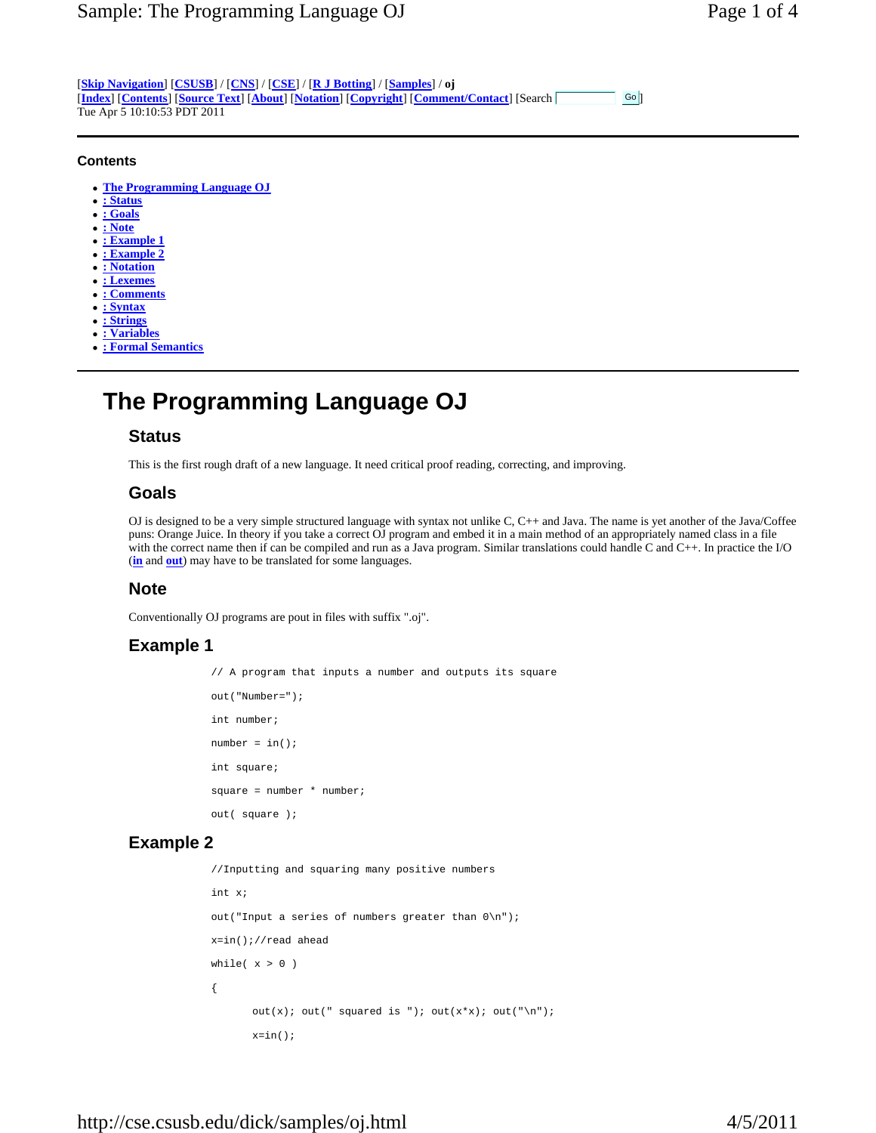[**Skip Navigation**] [**CSUSB**] / [**CNS**] / [**CSE**] / [**R J Botting**] / [**Samples**] / **oj** [**Index**] [**Contents**] [**Source Text**] [**About**] [**Notation**] [**Copyright**] [**Comment/Contact**] [Search ] Tue Apr 5 10:10:53 PDT 2011  $Go$ 

#### **Contents**

- <sup>z</sup> **The Programming Language OJ**
- <sup>z</sup> **: Status**
- <sup>z</sup> **: Goals**
- <sup>z</sup> **: Note**
- **: Example 1**
- <sup>z</sup> **: Example 2**
- <sup>z</sup> **: Notation**
- <sup>z</sup> **: Lexemes**
- <sup>z</sup> **: Comments**
- <sup>z</sup> **: Syntax**
- <sup>z</sup> **: Strings**
- <sup>z</sup> **: Variables**
- <sup>z</sup> **: Formal Semantics**

# **The Programming Language OJ**

### **Status**

This is the first rough draft of a new language. It need critical proof reading, correcting, and improving.

### **Goals**

OJ is designed to be a very simple structured language with syntax not unlike C, C++ and Java. The name is yet another of the Java/Coffee puns: Orange Juice. In theory if you take a correct OJ program and embed it in a main method of an appropriately named class in a file with the correct name then if can be compiled and run as a Java program. Similar translations could handle C and C++. In practice the I/O (**in** and **out**) may have to be translated for some languages.

### **Note**

Conventionally OJ programs are pout in files with suffix ".oj".

# **Example 1**

 // A program that inputs a number and outputs its square out("Number="); int number;  $number = in()$  int square; square =  $number * number$ ; out( square );

# **Example 2**

```
 //Inputting and squaring many positive numbers 
             int x; 
             out("Input a series of numbers greater than 0\n"); 
             x=in();//read ahead 
            while(x > 0)
\{out(x); out(" squared is "); out(x*x); out("\n");
                   x=in();
```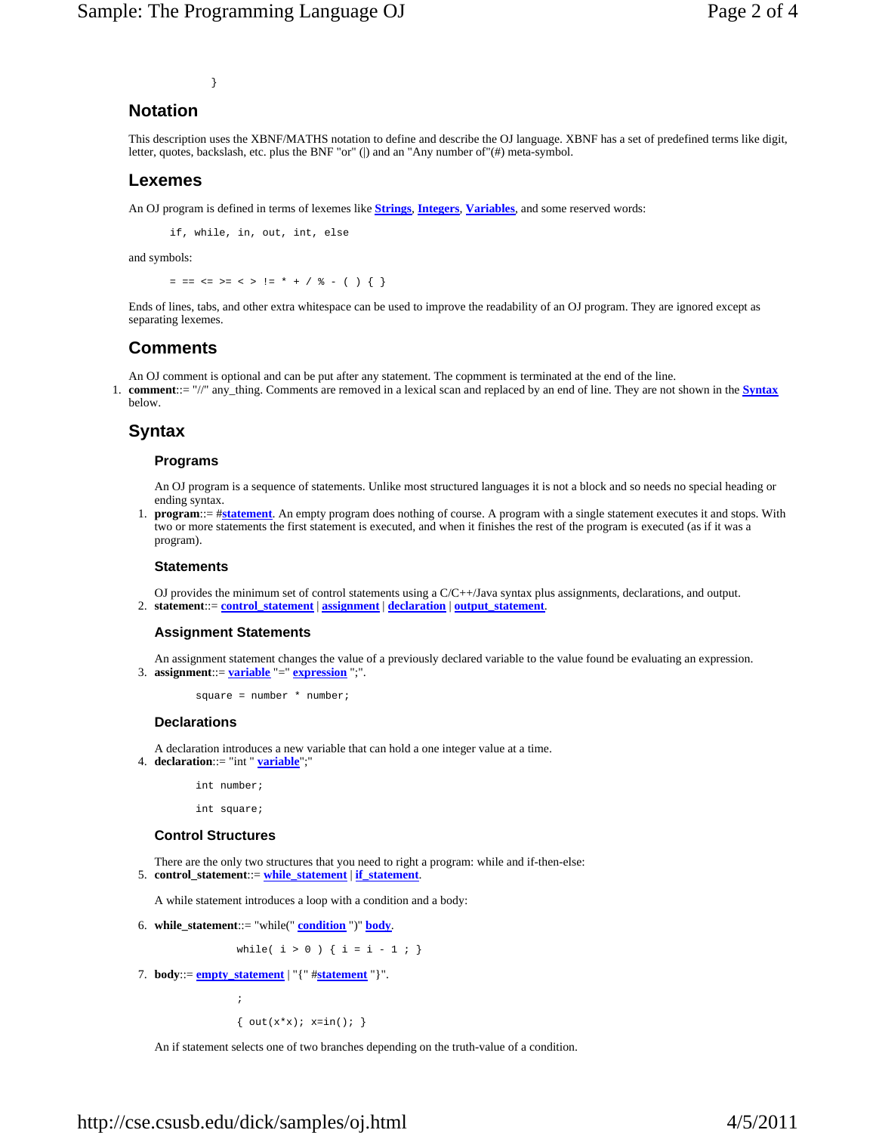}

# **Notation**

This description uses the XBNF/MATHS notation to define and describe the OJ language. XBNF has a set of predefined terms like digit, letter, quotes, backslash, etc. plus the BNF "or" (|) and an "Any number of"(#) meta-symbol.

### **Lexemes**

An OJ program is defined in terms of lexemes like **Strings**, **Integers**, **Variables**, and some reserved words:

if, while, in, out, int, else

and symbols:

= == <= >= < > != \* + / % - ( ) { }

Ends of lines, tabs, and other extra whitespace can be used to improve the readability of an OJ program. They are ignored except as separating lexemes.

# **Comments**

An OJ comment is optional and can be put after any statement. The copmment is terminated at the end of the line.

1. **comment**::= "//" any\_thing. Comments are removed in a lexical scan and replaced by an end of line. They are not shown in the **Syntax** below.

# **Syntax**

#### **Programs**

An OJ program is a sequence of statements. Unlike most structured languages it is not a block and so needs no special heading or ending syntax.

1. **program**::= #**statement**. An empty program does nothing of course. A program with a single statement executes it and stops. With two or more statements the first statement is executed, and when it finishes the rest of the program is executed (as if it was a program).

#### **Statements**

OJ provides the minimum set of control statements using a C/C++/Java syntax plus assignments, declarations, and output. 2. **statement**::= **control\_statement** | **assignment** | **declaration** | **output\_statement**.

#### **Assignment Statements**

An assignment statement changes the value of a previously declared variable to the value found be evaluating an expression. 3. **assignment**::= **variable** "=" **expression** ";".

 $square = number * number$ ;

#### **Declarations**

A declaration introduces a new variable that can hold a one integer value at a time.

4. **declaration**::= "int " **variable**";"

int number;

int square;

#### **Control Structures**

 $\mathcal{L}^{\text{max}}_{\text{max}}$  and  $\mathcal{L}^{\text{max}}_{\text{max}}$ 

There are the only two structures that you need to right a program: while and if-then-else: 5. **control\_statement**::= **while\_statement** | **if\_statement**.

A while statement introduces a loop with a condition and a body:

6. **while\_statement**::= "while(" **condition** ")" **body**.

while(  $i > 0$  ) {  $i = i - 1 ;$  }

7. **body**:  $=$  **<u>empty\_statement</u>** | "{"  $#$ **statement** "}".

{  $out(x*x); x=in();$  }

An if statement selects one of two branches depending on the truth-value of a condition.

# http://cse.csusb.edu/dick/samples/oj.html 4/5/2011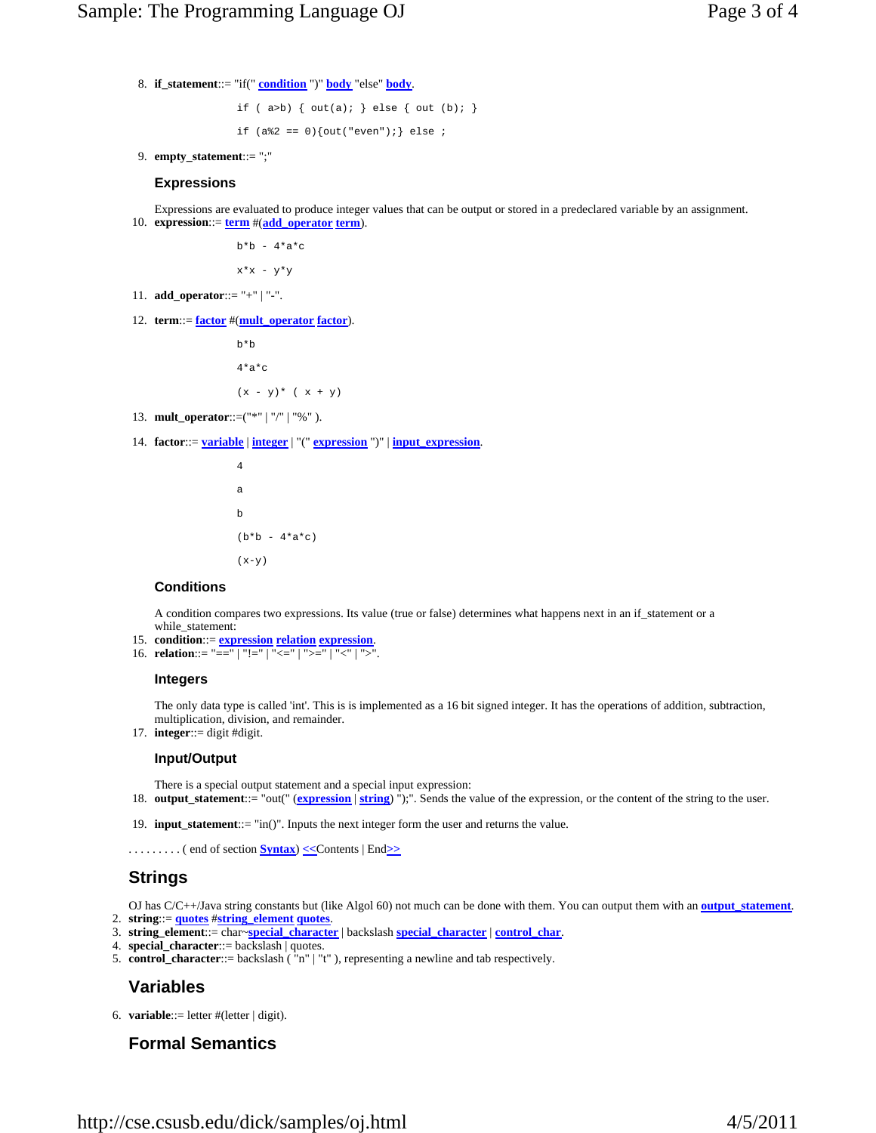8. **if\_statement**::= "if(" **condition** ")" **body** "else" **body**.

if (  $a>b$ ) {  $out(a);$  } else {  $out(b);$  } if  $(a * 2 == 0)$  {out("even"); } else ;

9. **empty\_statement**::= ";"

#### **Expressions**

Expressions are evaluated to produce integer values that can be output or stored in a predeclared variable by an assignment. 10. **expression**: $=$  **term**  $#(\text{add\_operator term})$ .

 $b*b - 4*a*c$ 

 $x * x - y * y$ 

- 11. **add\_operator**::= "+" | "-".
- 12. **term**::= **factor** #(**mult\_operator factor**).

 b\*b  $4*a*c$ 

```
(x - y)^* ( x + y)
```
- 13. **mult\_operator**::=("\*" | "/" | "%" ).
- 14. **factor**::= **variable** | **integer** | "(" **expression** ")" | **input\_expression**.

```
 4 
a a shekarar ta 1970 a tsannin a tsannin a tsannin a tsannin a tsannin a tsannin a tsannin a tsannin a tsannin
 b 
                           (b*b - 4*a*c)(x-y)
```
#### **Conditions**

A condition compares two expressions. Its value (true or false) determines what happens next in an if\_statement or a while\_statement:

- 15. **condition**::= **expression relation expression**.
- 16. **relation**::= "==" | "!=" | "<=" | ">=" | "<" | ">".

#### **Integers**

The only data type is called 'int'. This is is implemented as a 16 bit signed integer. It has the operations of addition, subtraction, multiplication, division, and remainder.

17. **integer**::= digit #digit.

#### **Input/Output**

- There is a special output statement and a special input expression: 18. **output\_statement**::= "out(" (**expression** | **string**) ");". Sends the value of the expression, or the content of the string to the user.
- 19. **input\_statement**::= "in()". Inputs the next integer form the user and returns the value.
- . . . . . . . . . ( end of section **Syntax**) **<<**Contents | End**>>**

# **Strings**

OJ has C/C++/Java string constants but (like Algol 60) not much can be done with them. You can output them with an **output** statement. 2. **string**::= **quotes** #**string\_element quotes**.

- 3. **string\_element**::= char~**special\_character** | backslash **special\_character** | **control\_char**.
- 4. **special\_character**::= backslash | quotes.
- 5. **control\_character**::= backslash ( "n" | "t" ), representing a newline and tab respectively.

# **Variables**

6. **variable**::= letter #(letter | digit).

### **Formal Semantics**